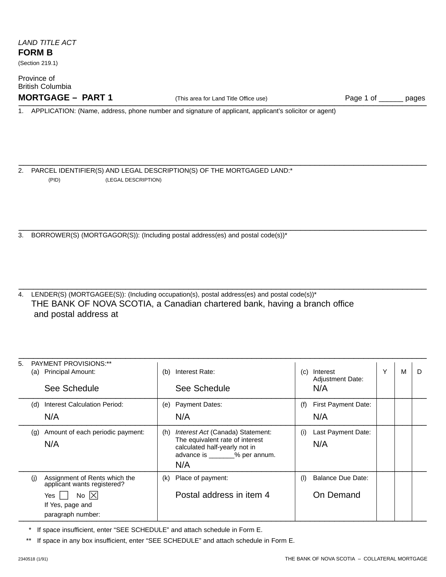# LAND TITLE ACT **FORM B**

(Section 219.1)

Province of British Columbia **MORTGAGE – PART 1** (This area for Land Title Office use) Page 1 of \_\_\_\_\_\_ pages \_\_\_\_\_\_\_\_\_\_\_\_\_\_\_\_\_\_\_\_\_\_\_\_\_\_\_\_\_\_\_\_\_\_\_\_\_\_\_\_\_\_\_\_\_\_\_\_\_\_\_\_\_\_\_\_\_\_\_\_\_\_\_\_\_\_\_\_\_\_\_\_\_\_\_\_\_\_\_\_\_\_\_\_

\_\_\_\_\_\_\_\_\_\_\_\_\_\_\_\_\_\_\_\_\_\_\_\_\_\_\_\_\_\_\_\_\_\_\_\_\_\_\_\_\_\_\_\_\_\_\_\_\_\_\_\_\_\_\_\_\_\_\_\_\_\_\_\_\_\_\_\_\_\_\_\_\_\_\_\_\_\_\_\_\_\_\_\_

\_\_\_\_\_\_\_\_\_\_\_\_\_\_\_\_\_\_\_\_\_\_\_\_\_\_\_\_\_\_\_\_\_\_\_\_\_\_\_\_\_\_\_\_\_\_\_\_\_\_\_\_\_\_\_\_\_\_\_\_\_\_\_\_\_\_\_\_\_\_\_\_\_\_\_\_\_\_\_\_\_\_\_\_

\_\_\_\_\_\_\_\_\_\_\_\_\_\_\_\_\_\_\_\_\_\_\_\_\_\_\_\_\_\_\_\_\_\_\_\_\_\_\_\_\_\_\_\_\_\_\_\_\_\_\_\_\_\_\_\_\_\_\_\_\_\_\_\_\_\_\_\_\_\_\_\_\_\_\_\_\_\_\_\_\_\_\_\_

\_\_\_\_\_\_\_\_\_\_\_\_\_\_\_\_\_\_\_\_\_\_\_\_\_\_\_\_\_\_\_\_\_\_\_\_\_\_\_\_\_\_\_\_\_\_\_\_\_\_\_\_\_\_\_\_\_\_\_\_\_\_\_\_\_\_\_\_\_\_\_\_\_\_\_\_\_\_\_\_\_\_\_\_

1. APPLICATION: (Name, address, phone number and signature of applicant, applicant's solicitor or agent)

2. PARCEL IDENTIFIER(S) AND LEGAL DESCRIPTION(S) OF THE MORTGAGED LAND:\* (PID) (LEGAL DESCRIPTION)

3. BORROWER(S) (MORTGAGOR(S)): (Including postal address(es) and postal code(s))\*

4. LENDER(S) (MORTGAGEE(S)): (Including occupation(s), postal address(es) and postal code(s))\* THE BANK OF NOVA SCOTIA, a Canadian chartered bank, having a branch office and postal address at

| 5. | PAYMENT PROVISIONS:**<br><b>Principal Amount:</b><br>(a)<br>See Schedule | (b) | Interest Rate:<br>See Schedule                                                                                                                       | (c) | Interest<br><b>Adjustment Date:</b><br>N/A | Υ | M | D |
|----|--------------------------------------------------------------------------|-----|------------------------------------------------------------------------------------------------------------------------------------------------------|-----|--------------------------------------------|---|---|---|
|    | <b>Interest Calculation Period:</b><br>(d)<br>N/A                        | (e) | <b>Payment Dates:</b><br>N/A                                                                                                                         | (f) | <b>First Payment Date:</b><br>N/A          |   |   |   |
|    | Amount of each periodic payment:<br>$\left( q\right)$<br>N/A             | (h) | <i>Interest Act (Canada) Statement:</i><br>The equivalent rate of interest<br>calculated half-yearly not in<br>advance is _______% per annum.<br>N/A | (i) | Last Payment Date:<br>N/A                  |   |   |   |
|    | Assignment of Rents which the<br>(i)<br>applicant wants registered?      | (k) | Place of payment:                                                                                                                                    | (1) | <b>Balance Due Date:</b>                   |   |   |   |
|    | No $ \times $<br>Yes<br>If Yes, page and<br>paragraph number:            |     | Postal address in item 4                                                                                                                             |     | On Demand                                  |   |   |   |

If space insufficient, enter "SEE SCHEDULE" and attach schedule in Form E.

\*\* If space in any box insufficient, enter "SEE SCHEDULE" and attach schedule in Form E.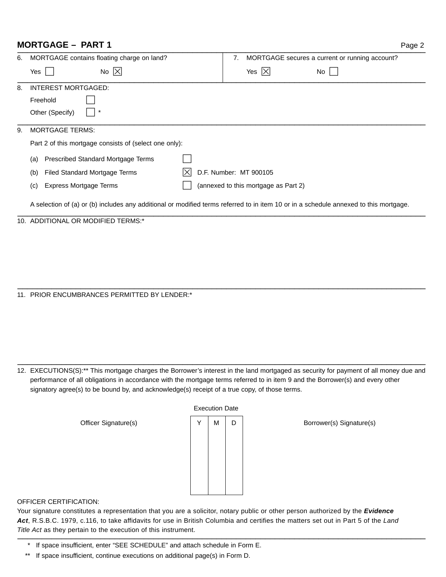# **MORTGAGE – PART 1**

| ٠ |  |
|---|--|
|---|--|

| 6.                                                                                                                                    | MORTGAGE contains floating charge on land?             | MORTGAGE secures a current or running account?<br>7. |  |  |  |  |
|---------------------------------------------------------------------------------------------------------------------------------------|--------------------------------------------------------|------------------------------------------------------|--|--|--|--|
|                                                                                                                                       | No $ X $<br>Yes                                        | Yes $ X $<br>No.                                     |  |  |  |  |
| 8.                                                                                                                                    | <b>INTEREST MORTGAGED:</b>                             |                                                      |  |  |  |  |
|                                                                                                                                       | Freehold                                               |                                                      |  |  |  |  |
|                                                                                                                                       | Other (Specify)                                        |                                                      |  |  |  |  |
| 9.                                                                                                                                    | <b>MORTGAGE TERMS:</b>                                 |                                                      |  |  |  |  |
|                                                                                                                                       | Part 2 of this mortgage consists of (select one only): |                                                      |  |  |  |  |
|                                                                                                                                       | Prescribed Standard Mortgage Terms<br>(a)              |                                                      |  |  |  |  |
|                                                                                                                                       | Filed Standard Mortgage Terms<br>(b)                   | D.F. Number: MT 900105                               |  |  |  |  |
|                                                                                                                                       | Express Mortgage Terms<br>(C)                          | (annexed to this mortgage as Part 2)                 |  |  |  |  |
| A selection of (a) or (b) includes any additional or modified terms referred to in item 10 or in a schedule annexed to this mortgage. |                                                        |                                                      |  |  |  |  |
|                                                                                                                                       | 10. ADDITIONAL OR MODIFIED TERMS:*                     |                                                      |  |  |  |  |

11. PRIOR ENCUMBRANCES PERMITTED BY LENDER:\*

12. EXECUTIONS(S):\*\* This mortgage charges the Borrower's interest in the land mortgaged as security for payment of all money due and performance of all obligations in accordance with the mortgage terms referred to in item 9 and the Borrower(s) and every other signatory agree(s) to be bound by, and acknowledge(s) receipt of a true copy, of those terms.

\_\_\_\_\_\_\_\_\_\_\_\_\_\_\_\_\_\_\_\_\_\_\_\_\_\_\_\_\_\_\_\_\_\_\_\_\_\_\_\_\_\_\_\_\_\_\_\_\_\_\_\_\_\_\_\_\_\_\_\_\_\_\_\_\_\_\_\_\_\_\_\_\_\_\_\_\_\_\_\_\_\_\_\_

\_\_\_\_\_\_\_\_\_\_\_\_\_\_\_\_\_\_\_\_\_\_\_\_\_\_\_\_\_\_\_\_\_\_\_\_\_\_\_\_\_\_\_\_\_\_\_\_\_\_\_\_\_\_\_\_\_\_\_\_\_\_\_\_\_\_\_\_\_\_\_\_\_\_\_\_\_\_\_\_\_\_\_\_

| <b>Execution Date</b> |   |   |  |  |  |  |
|-----------------------|---|---|--|--|--|--|
| Y                     | M | D |  |  |  |  |
|                       |   |   |  |  |  |  |
|                       |   |   |  |  |  |  |
|                       |   |   |  |  |  |  |
|                       |   |   |  |  |  |  |
|                       |   |   |  |  |  |  |
|                       |   |   |  |  |  |  |
|                       |   |   |  |  |  |  |

Officer Signature(s) Y M D Borrower(s) Signature(s)

OFFICER CERTIFICATION:

Your signature constitutes a representation that you are a solicitor, notary public or other person authorized by the **Evidence Act**, R.S.B.C. 1979, c.116, to take affidavits for use in British Columbia and certifies the matters set out in Part 5 of the Land Title Act as they pertain to the execution of this instrument.

<sup>\*</sup> If space insufficient, enter "SEE SCHEDULE" and attach schedule in Form E.

<sup>\*\*</sup> If space insufficient, continue executions on additional page(s) in Form D.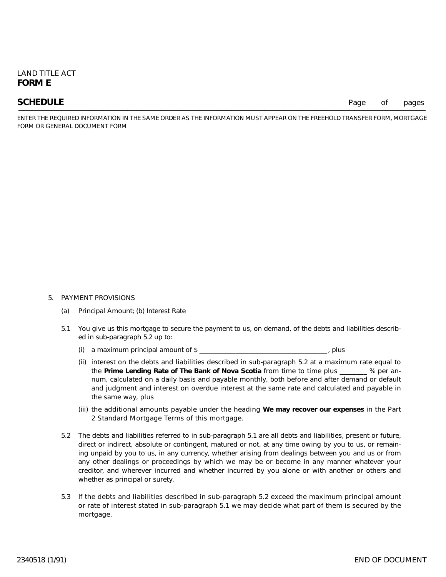**SCHEDULE** Page of pages

ENTER THE REQUIRED INFORMATION IN THE SAME ORDER AS THE INFORMATION MUST APPEAR ON THE FREEHOLD TRANSFER FORM, MORTGAGE FORM OR GENERAL DOCUMENT FORM

#### 5. PAYMENT PROVISIONS

- (a) Principal Amount; (b) Interest Rate
- 5.1 You give us this mortgage to secure the payment to us, on demand, of the debts and liabilities described in sub-paragraph 5.2 up to:
	- (i) a maximum principal amount of \$
	- (ii) interest on the debts and liabilities described in sub-paragraph 5.2 at a maximum rate equal to the **Prime Lending Rate of The Bank of Nova Scotia** from time to time plus \_\_\_\_\_\_\_\_ % per annum, calculated on a daily basis and payable monthly, both before and after demand or default and judgment and interest on overdue interest at the same rate and calculated and payable in the same way, plus
	- (iii) the additional amounts payable under the heading **We may recover our expenses** in the Part 2 Standard Mortgage Terms of this mortgage.
- 5.2 The debts and liabilities referred to in sub-paragraph 5.1 are all debts and liabilities, present or future, direct or indirect, absolute or contingent, matured or not, at any time owing by you to us, or remaining unpaid by you to us, in any currency, whether arising from dealings between you and us or from any other dealings or proceedings by which we may be or become in any manner whatever your creditor, and wherever incurred and whether incurred by you alone or with another or others and whether as principal or surety.
- 5.3 If the debts and liabilities described in sub-paragraph 5.2 exceed the maximum principal amount or rate of interest stated in sub-paragraph 5.1 we may decide what part of them is secured by the mortgage.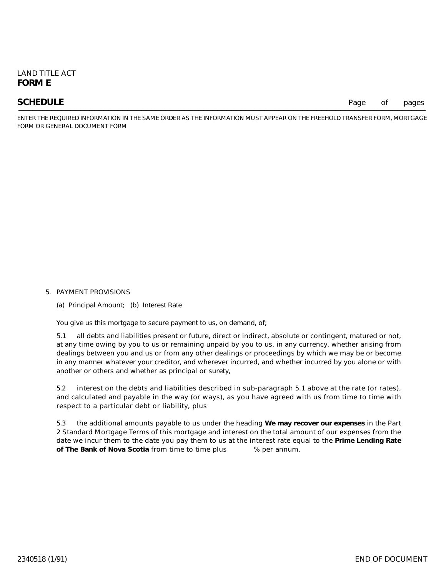**SCHEDULE** Page of pages

ENTER THE REQUIRED INFORMATION IN THE SAME ORDER AS THE INFORMATION MUST APPEAR ON THE FREEHOLD TRANSFER FORM, MORTGAGE FORM OR GENERAL DOCUMENT FORM

#### 5. PAYMENT PROVISIONS

(a) Principal Amount; (b) Interest Rate

You give us this mortgage to secure payment to us, on demand, of;

5.1 all debts and liabilities present or future, direct or indirect, absolute or contingent, matured or not, at any time owing by you to us or remaining unpaid by you to us, in any currency, whether arising from dealings between you and us or from any other dealings or proceedings by which we may be or become in any manner whatever your creditor, and wherever incurred, and whether incurred by you alone or with another or others and whether as principal or surety,

5.2 interest on the debts and liabilities described in sub-paragraph 5.1 above at the rate (or rates), and calculated and payable in the way (or ways), as you have agreed with us from time to time with respect to a particular debt or liability, plus

5.3 the additional amounts payable to us under the heading **We may recover our expenses** in the Part 2 Standard Mortgage Terms of this mortgage and interest on the total amount of our expenses from the date we incur them to the date you pay them to us at the interest rate equal to the **Prime Lending Rate of The Bank of Nova Scotia** from time to time plus % per annum.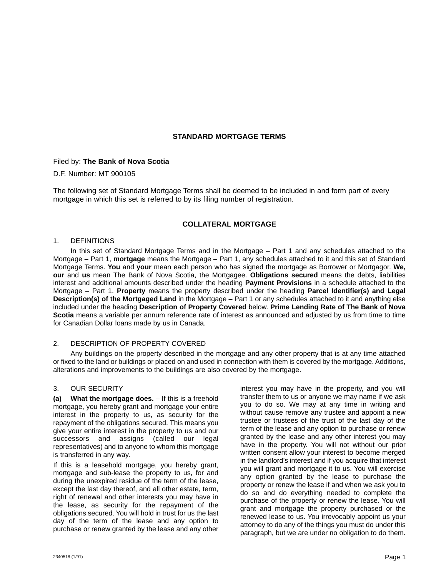### **STANDARD MORTGAGE TERMS**

#### Filed by: **The Bank of Nova Scotia**

#### D.F. Number: MT 900105

The following set of Standard Mortgage Terms shall be deemed to be included in and form part of every mortgage in which this set is referred to by its filing number of registration.

### **COLLATERAL MORTGAGE**

#### 1. DEFINITIONS

In this set of Standard Mortgage Terms and in the Mortgage – Part 1 and any schedules attached to the Mortgage – Part 1, **mortgage** means the Mortgage – Part 1, any schedules attached to it and this set of Standard Mortgage Terms. **You** and **your** mean each person who has signed the mortgage as Borrower or Mortgagor. **We, our** and **us** mean The Bank of Nova Scotia, the Mortgagee. **Obligations secured** means the debts, liabilities interest and additional amounts described under the heading **Payment Provisions** in a schedule attached to the Mortgage – Part 1. **Property** means the property described under the heading **Parcel Identifier(s) and Legal Description(s) of the Mortgaged Land** in the Mortgage – Part 1 or any schedules attached to it and anything else included under the heading **Description of Property Covered** below. **Prime Lending Rate of The Bank of Nova Scotia** means a variable per annum reference rate of interest as announced and adjusted by us from time to time for Canadian Dollar loans made by us in Canada.

#### 2. DESCRIPTION OF PROPERTY COVERED

Any buildings on the property described in the mortgage and any other property that is at any time attached or fixed to the land or buildings or placed on and used in connection with them is covered by the mortgage. Additions, alterations and improvements to the buildings are also covered by the mortgage.

#### 3. OUR SECURITY

**(a) What the mortgage does.** – If this is a freehold mortgage, you hereby grant and mortgage your entire interest in the property to us, as security for the repayment of the obligations secured. This means you give your entire interest in the property to us and our successors and assigns (called our legal representatives) and to anyone to whom this mortgage is transferred in any way.

If this is a leasehold mortgage, you hereby grant, mortgage and sub-lease the property to us, for and during the unexpired residue of the term of the lease, except the last day thereof, and all other estate, term, right of renewal and other interests you may have in the lease, as security for the repayment of the obligations secured. You will hold in trust for us the last day of the term of the lease and any option to purchase or renew granted by the lease and any other

interest you may have in the property, and you will transfer them to us or anyone we may name if we ask you to do so. We may at any time in writing and without cause remove any trustee and appoint a new trustee or trustees of the trust of the last day of the term of the lease and any option to purchase or renew granted by the lease and any other interest you may have in the property. You will not without our prior written consent allow your interest to become merged in the landlord's interest and if you acquire that interest you will grant and mortgage it to us. You will exercise any option granted by the lease to purchase the property or renew the lease if and when we ask you to do so and do everything needed to complete the purchase of the property or renew the lease. You will grant and mortgage the property purchased or the renewed lease to us. You irrevocably appoint us your attorney to do any of the things you must do under this paragraph, but we are under no obligation to do them.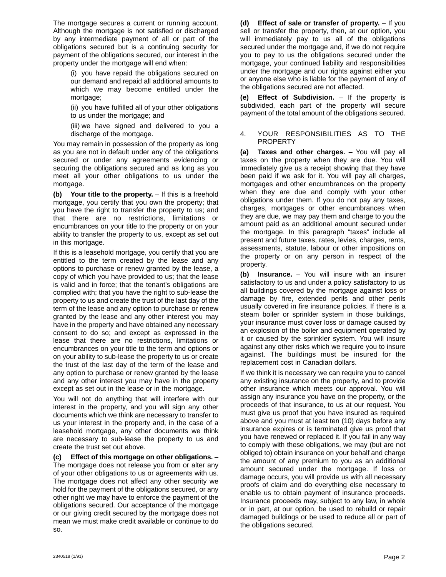The mortgage secures a current or running account. Although the mortgage is not satisfied or discharged by any intermediate payment of all or part of the obligations secured but is a continuing security for payment of the obligations secured, our interest in the property under the mortgage will end when:

(i) you have repaid the obligations secured on our demand and repaid all additional amounts to which we may become entitled under the mortgage;

(ii) you have fulfilled all of your other obligations to us under the mortgage; and

(iii) we have signed and delivered to you a discharge of the mortgage.

You may remain in possession of the property as long as you are not in default under any of the obligations secured or under any agreements evidencing or securing the obligations secured and as long as you meet all your other obligations to us under the mortgage.

**(b) Your title to the property.** – If this is a freehold mortgage, you certify that you own the property; that you have the right to transfer the property to us; and that there are no restrictions, limitations or encumbrances on your title to the property or on your ability to transfer the property to us, except as set out in this mortgage.

If this is a leasehold mortgage, you certify that you are entitled to the term created by the lease and any options to purchase or renew granted by the lease, a copy of which you have provided to us; that the lease is valid and in force; that the tenant's obligations are complied with; that you have the right to sub-lease the property to us and create the trust of the last day of the term of the lease and any option to purchase or renew granted by the lease and any other interest you may have in the property and have obtained any necessary consent to do so; and except as expressed in the lease that there are no restrictions, limitations or encumbrances on your title to the term and options or on your ability to sub-lease the property to us or create the trust of the last day of the term of the lease and any option to purchase or renew granted by the lease and any other interest you may have in the property except as set out in the lease or in the mortgage.

You will not do anything that will interfere with our interest in the property, and you will sign any other documents which we think are necessary to transfer to us your interest in the property and, in the case of a leasehold mortgage, any other documents we think are necessary to sub-lease the property to us and create the trust set out above.

**(c) Effect of this mortgage on other obligations.** – The mortgage does not release you from or alter any of your other obligations to us or agreements with us. The mortgage does not affect any other security we hold for the payment of the obligations secured, or any other right we may have to enforce the payment of the obligations secured. Our acceptance of the mortgage or our giving credit secured by the mortgage does not mean we must make credit available or continue to do so.

**(d) Effect of sale or transfer of property.** – If you sell or transfer the property, then, at our option, you will immediately pay to us all of the obligations secured under the mortgage and, if we do not require you to pay to us the obligations secured under the mortgage, your continued liability and responsibilities under the mortgage and our rights against either you or anyone else who is liable for the payment of any of the obligations secured are not affected.

**(e) Effect of Subdivision.** – If the property is subdivided, each part of the property will secure payment of the total amount of the obligations secured.

#### 4. YOUR RESPONSIBILITIES AS TO THE PROPERTY

**(a) Taxes and other charges.** – You will pay all taxes on the property when they are due. You will immediately give us a receipt showing that they have been paid if we ask for it. You will pay all charges, mortgages and other encumbrances on the property when they are due and comply with your other obligations under them. If you do not pay any taxes, charges, mortgages or other encumbrances when they are due, we may pay them and charge to you the amount paid as an additional amount secured under the mortgage. In this paragraph "taxes" include all present and future taxes, rates, levies, charges, rents, assessments, statute, labour or other impositions on the property or on any person in respect of the property.

**(b) Insurance.** – You will insure with an insurer satisfactory to us and under a policy satisfactory to us all buildings covered by the mortgage against loss or damage by fire, extended perils and other perils usually covered in fire insurance policies. If there is a steam boiler or sprinkler system in those buildings, your insurance must cover loss or damage caused by an explosion of the boiler and equipment operated by it or caused by the sprinkler system. You will insure against any other risks which we require you to insure against. The buildings must be insured for the replacement cost in Canadian dollars.

If we think it is necessary we can require you to cancel any existing insurance on the property, and to provide other insurance which meets our approval. You will assign any insurance you have on the property, or the proceeds of that insurance, to us at our request. You must give us proof that you have insured as required above and you must at least ten (10) days before any insurance expires or is terminated give us proof that you have renewed or replaced it. If you fail in any way to comply with these obligations, we may (but are not obliged to) obtain insurance on your behalf and charge the amount of any premium to you as an additional amount secured under the mortgage. If loss or damage occurs, you will provide us with all necessary proofs of claim and do everything else necessary to enable us to obtain payment of insurance proceeds. Insurance proceeds may, subject to any law, in whole or in part, at our option, be used to rebuild or repair damaged buildings or be used to reduce all or part of the obligations secured.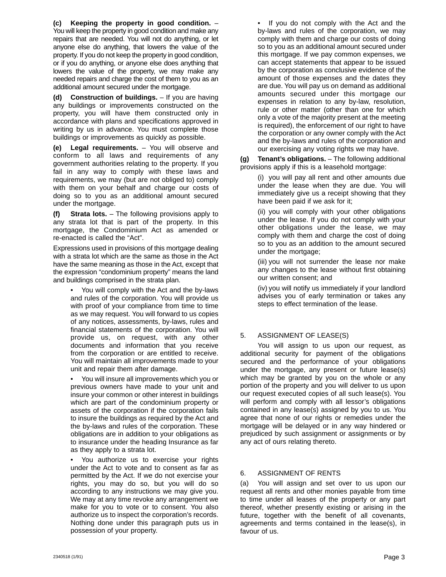**(c) Keeping the property in good condition.** – You will keep the property in good condition and make any repairs that are needed. You will not do anything, or let anyone else do anything, that lowers the value of the property. If you do not keep the property in good condition, or if you do anything, or anyone else does anything that lowers the value of the property, we may make any needed repairs and charge the cost of them to you as an additional amount secured under the mortgage.

**(d) Construction of buildings.** – If you are having any buildings or improvements constructed on the property, you will have them constructed only in accordance with plans and specifications approved in writing by us in advance. You must complete those buildings or improvements as quickly as possible.

**(e) Legal requirements.** – You will observe and conform to all laws and requirements of any government authorities relating to the property. If you fail in any way to comply with these laws and requirements, we may (but are not obliged to) comply with them on your behalf and charge our costs of doing so to you as an additional amount secured under the mortgage.

**(f) Strata lots.** – The following provisions apply to any strata lot that is part of the property. In this mortgage, the Condominium Act as amended or re-enacted is called the "Act".

Expressions used in provisions of this mortgage dealing with a strata lot which are the same as those in the Act have the same meaning as those in the Act, except that the expression "condominium property" means the land and buildings comprised in the strata plan.

• You will comply with the Act and the by-laws and rules of the corporation. You will provide us with proof of your compliance from time to time as we may request. You will forward to us copies of any notices, assessments, by-laws, rules and financial statements of the corporation. You will provide us, on request, with any other documents and information that you receive from the corporation or are entitled to receive. You will maintain all improvements made to your unit and repair them after damage.

• You will insure all improvements which you or previous owners have made to your unit and insure your common or other interest in buildings which are part of the condominium property or assets of the corporation if the corporation fails to insure the buildings as required by the Act and the by-laws and rules of the corporation. These obligations are in addition to your obligations as to insurance under the heading Insurance as far as they apply to a strata lot.

You authorize us to exercise your rights under the Act to vote and to consent as far as permitted by the Act. If we do not exercise your rights, you may do so, but you will do so according to any instructions we may give you. We may at any time revoke any arrangement we make for you to vote or to consent. You also authorize us to inspect the corporation's records. Nothing done under this paragraph puts us in possession of your property.

• If you do not comply with the Act and the by-laws and rules of the corporation, we may comply with them and charge our costs of doing so to you as an additional amount secured under this mortgage. If we pay common expenses, we can accept statements that appear to be issued by the corporation as conclusive evidence of the amount of those expenses and the dates they are due. You will pay us on demand as additional amounts secured under this mortgage our expenses in relation to any by-law, resolution, rule or other matter (other than one for which only a vote of the majority present at the meeting is required), the enforcement of our right to have the corporation or any owner comply with the Act and the by-laws and rules of the corporation and our exercising any voting rights we may have.

**(g) Tenant's obligations.** – The following additional provisions apply if this is a leasehold mortgage:

> (i) you will pay all rent and other amounts due under the lease when they are due. You will immediately give us a receipt showing that they have been paid if we ask for it;

> (ii) you will comply with your other obligations under the lease. If you do not comply with your other obligations under the lease, we may comply with them and charge the cost of doing so to you as an addition to the amount secured under the mortgage;

> (iii) you will not surrender the lease nor make any changes to the lease without first obtaining our written consent; and

> (iv) you will notify us immediately if your landlord advises you of early termination or takes any steps to effect termination of the lease.

## 5. ASSIGNMENT OF LEASE(S)

You will assign to us upon our request, as additional security for payment of the obligations secured and the performance of your obligations under the mortgage, any present or future lease(s) which may be granted by you on the whole or any portion of the property and you will deliver to us upon our request executed copies of all such lease(s). You will perform and comply with all lessor's obligations contained in any lease(s) assigned by you to us. You agree that none of our rights or remedies under the mortgage will be delayed or in any way hindered or prejudiced by such assignment or assignments or by any act of ours relating thereto.

### 6. ASSIGNMENT OF RENTS

(a) You will assign and set over to us upon our request all rents and other monies payable from time to time under all leases of the property or any part thereof, whether presently existing or arising in the future, together with the benefit of all covenants, agreements and terms contained in the lease(s), in favour of us.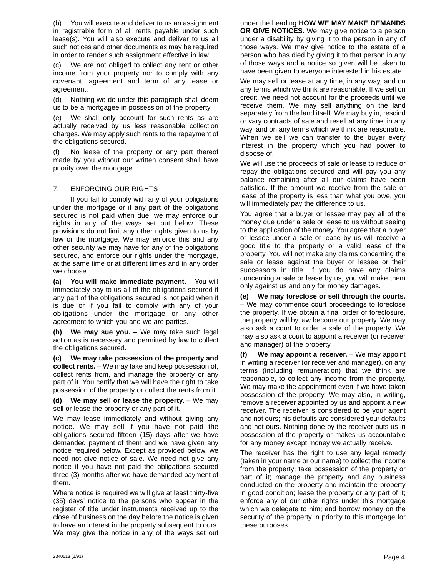(b) You will execute and deliver to us an assignment in registrable form of all rents payable under such lease(s). You will also execute and deliver to us all such notices and other documents as may be required in order to render such assignment effective in law.

(c) We are not obliged to collect any rent or other income from your property nor to comply with any covenant, agreement and term of any lease or agreement.

(d) Nothing we do under this paragraph shall deem us to be a mortgagee in possession of the property.

(e) We shall only account for such rents as are actually received by us less reasonable collection charges. We may apply such rents to the repayment of the obligations secured.

(f) No lease of the property or any part thereof made by you without our written consent shall have priority over the mortgage.

### 7. ENFORCING OUR RIGHTS

If you fail to comply with any of your obligations under the mortgage or if any part of the obligations secured is not paid when due, we may enforce our rights in any of the ways set out below. These provisions do not limit any other rights given to us by law or the mortgage. We may enforce this and any other security we may have for any of the obligations secured, and enforce our rights under the mortgage, at the same time or at different times and in any order we choose.

**(a) You will make immediate payment.** – You will immediately pay to us all of the obligations secured if any part of the obligations secured is not paid when it is due or if you fail to comply with any of your obligations under the mortgage or any other agreement to which you and we are parties.

**(b) We may sue you.** – We may take such legal action as is necessary and permitted by law to collect the obligations secured.

**(c) We may take possession of the property and collect rents.** – We may take and keep possession of, collect rents from, and manage the property or any part of it. You certify that we will have the right to take possession of the property or collect the rents from it.

**(d) We may sell or lease the property.** – We may sell or lease the property or any part of it.

We may lease immediately and without giving any notice. We may sell if you have not paid the obligations secured fifteen (15) days after we have demanded payment of them and we have given any notice required below. Except as provided below, we need not give notice of sale. We need not give any notice if you have not paid the obligations secured three (3) months after we have demanded payment of them.

Where notice is required we will give at least thirty-five (35) days' notice to the persons who appear in the register of title under instruments received up to the close of business on the day before the notice is given to have an interest in the property subsequent to ours. We may give the notice in any of the ways set out

under the heading **HOW WE MAY MAKE DEMANDS OR GIVE NOTICES.** We may give notice to a person under a disability by giving it to the person in any of those ways. We may give notice to the estate of a person who has died by giving it to that person in any of those ways and a notice so given will be taken to have been given to everyone interested in his estate.

We may sell or lease at any time, in any way, and on any terms which we think are reasonable. If we sell on credit, we need not account for the proceeds until we receive them. We may sell anything on the land separately from the land itself. We may buy in, rescind or vary contracts of sale and resell at any time, in any way, and on any terms which we think are reasonable. When we sell we can transfer to the buyer every interest in the property which you had power to dispose of.

We will use the proceeds of sale or lease to reduce or repay the obligations secured and will pay you any balance remaining after all our claims have been satisfied. If the amount we receive from the sale or lease of the property is less than what you owe, you will immediately pay the difference to us.

You agree that a buyer or lessee may pay all of the money due under a sale or lease to us without seeing to the application of the money. You agree that a buyer or lessee under a sale or lease by us will receive a good title to the property or a valid lease of the property. You will not make any claims concerning the sale or lease against the buyer or lessee or their successors in title. If you do have any claims concerning a sale or lease by us, you will make them only against us and only for money damages.

**(e) We may foreclose or sell through the courts.** – We may commence court proceedings to foreclose the property. If we obtain a final order of foreclosure, the property will by law become our property. We may also ask a court to order a sale of the property. We may also ask a court to appoint a receiver (or receiver and manager) of the property.

**(f) We may appoint a receiver.** – We may appoint in writing a receiver (or receiver and manager), on any terms (including remuneration) that we think are reasonable, to collect any income from the property. We may make the appointment even if we have taken possession of the property. We may also, in writing, remove a receiver appointed by us and appoint a new receiver. The receiver is considered to be your agent and not ours; his defaults are considered your defaults and not ours. Nothing done by the receiver puts us in possession of the property or makes us accountable for any money except money we actually receive.

The receiver has the right to use any legal remedy (taken in your name or our name) to collect the income from the property; take possession of the property or part of it; manage the property and any business conducted on the property and maintain the property in good condition; lease the property or any part of it; enforce any of our other rights under this mortgage which we delegate to him; and borrow money on the security of the property in priority to this mortgage for these purposes.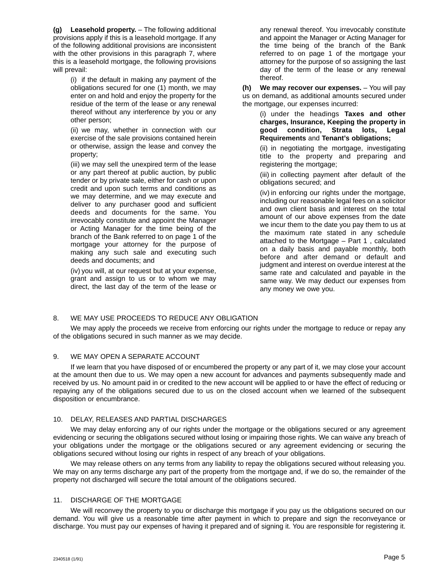**(g) Leasehold property.** – The following additional provisions apply if this is a leasehold mortgage. If any of the following additional provisions are inconsistent with the other provisions in this paragraph 7, where this is a leasehold mortgage, the following provisions will prevail:

> (i) if the default in making any payment of the obligations secured for one (1) month, we may enter on and hold and enjoy the property for the residue of the term of the lease or any renewal thereof without any interference by you or any other person;

> (ii) we may, whether in connection with our exercise of the sale provisions contained herein or otherwise, assign the lease and convey the property;

> (iii) we may sell the unexpired term of the lease or any part thereof at public auction, by public tender or by private sale, either for cash or upon credit and upon such terms and conditions as we may determine, and we may execute and deliver to any purchaser good and sufficient deeds and documents for the same. You irrevocably constitute and appoint the Manager or Acting Manager for the time being of the branch of the Bank referred to on page 1 of the mortgage your attorney for the purpose of making any such sale and executing such deeds and documents; and

> (iv) you will, at our request but at your expense, grant and assign to us or to whom we may direct, the last day of the term of the lease or

any renewal thereof. You irrevocably constitute and appoint the Manager or Acting Manager for the time being of the branch of the Bank referred to on page 1 of the mortgage your attorney for the purpose of so assigning the last day of the term of the lease or any renewal thereof.

**(h) We may recover our expenses.** – You will pay us on demand, as additional amounts secured under the mortgage, our expenses incurred:

> (i) under the headings **Taxes and other charges, Insurance, Keeping the property in good condition, Strata lots, Legal Requirements** and **Tenant's obligations;**

> (ii) in negotiating the mortgage, investigating title to the property and preparing and registering the mortgage;

> (iii) in collecting payment after default of the obligations secured; and

(iv) in enforcing our rights under the mortgage, including our reasonable legal fees on a solicitor and own client basis and interest on the total amount of our above expenses from the date we incur them to the date you pay them to us at the maximum rate stated in any schedule attached to the Mortgage – Part 1 , calculated on a daily basis and payable monthly, both before and after demand or default and judgment and interest on overdue interest at the same rate and calculated and payable in the same way. We may deduct our expenses from any money we owe you.

### 8. WE MAY USE PROCEEDS TO REDUCE ANY OBLIGATION

We may apply the proceeds we receive from enforcing our rights under the mortgage to reduce or repay any of the obligations secured in such manner as we may decide.

### 9. WE MAY OPEN A SEPARATE ACCOUNT

If we learn that you have disposed of or encumbered the property or any part of it, we may close your account at the amount then due to us. We may open a new account for advances and payments subsequently made and received by us. No amount paid in or credited to the new account will be applied to or have the effect of reducing or repaying any of the obligations secured due to us on the closed account when we learned of the subsequent disposition or encumbrance.

#### 10. DELAY, RELEASES AND PARTIAL DISCHARGES

We may delay enforcing any of our rights under the mortgage or the obligations secured or any agreement evidencing or securing the obligations secured without losing or impairing those rights. We can waive any breach of your obligations under the mortgage or the obligations secured or any agreement evidencing or securing the obligations secured without losing our rights in respect of any breach of your obligations.

We may release others on any terms from any liability to repay the obligations secured without releasing you. We may on any terms discharge any part of the property from the mortgage and, if we do so, the remainder of the property not discharged will secure the total amount of the obligations secured.

### 11. DISCHARGE OF THE MORTGAGE

We will reconvey the property to you or discharge this mortgage if you pay us the obligations secured on our demand. You will give us a reasonable time after payment in which to prepare and sign the reconveyance or discharge. You must pay our expenses of having it prepared and of signing it. You are responsible for registering it.